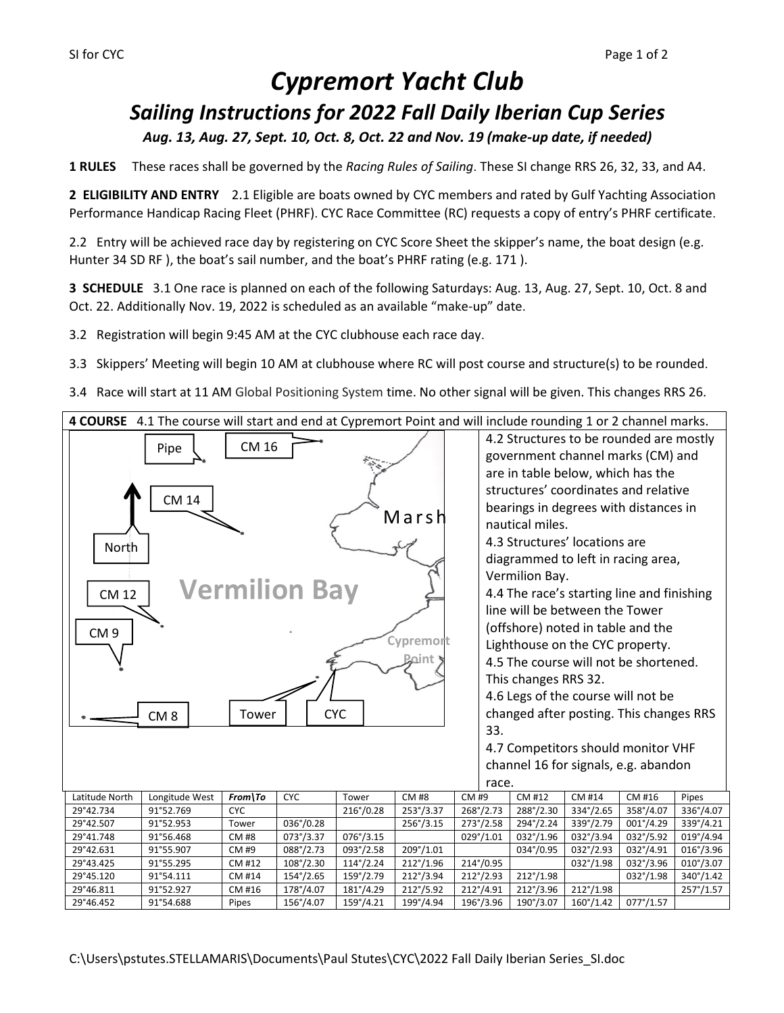# *Cypremort Yacht Club Sailing Instructions for 2022 Fall Daily Iberian Cup Series Aug. 13, Aug. 27, Sept. 10, Oct. 8, Oct. 22 and Nov. 19 (make-up date, if needed)*

**1 RULES** These races shall be governed by the *Racing Rules of Sailing*. These SI change RRS 26, 32, 33, and A4.

**2 ELIGIBILITY AND ENTRY** 2.1 Eligible are boats owned by CYC members and rated by Gulf Yachting Association Performance Handicap Racing Fleet (PHRF). CYC Race Committee (RC) requests a copy of entry's PHRF certificate.

2.2 Entry will be achieved race day by registering on CYC Score Sheet the skipper's name, the boat design (e.g. Hunter 34 SD RF ), the boat's sail number, and the boat's PHRF rating (e.g. 171 ).

**3 SCHEDULE** 3.1 One race is planned on each of the following Saturdays: Aug. 13, Aug. 27, Sept. 10, Oct. 8 and Oct. 22. Additionally Nov. 19, 2022 is scheduled as an available "make-up" date.

3.2 Registration will begin 9:45 AM at the CYC clubhouse each race day.

3.3 Skippers' Meeting will begin 10 AM at clubhouse where RC will post course and structure(s) to be rounded.

3.4 Race will start at 11 AM Global Positioning System time. No other signal will be given. This changes RRS 26.